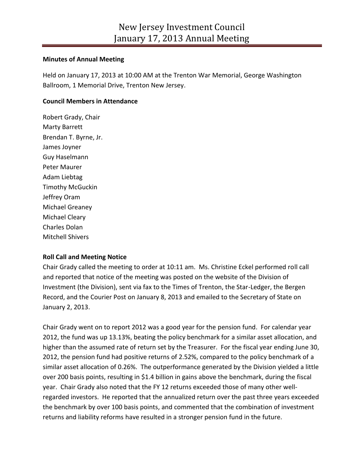### **Minutes of Annual Meeting**

Held on January 17, 2013 at 10:00 AM at the Trenton War Memorial, George Washington Ballroom, 1 Memorial Drive, Trenton New Jersey.

# **Council Members in Attendance**

Robert Grady, Chair Marty Barrett Brendan T. Byrne, Jr. James Joyner Guy Haselmann Peter Maurer Adam Liebtag Timothy McGuckin Jeffrey Oram Michael Greaney Michael Cleary Charles Dolan Mitchell Shivers

# **Roll Call and Meeting Notice**

Chair Grady called the meeting to order at 10:11 am. Ms. Christine Eckel performed roll call and reported that notice of the meeting was posted on the website of the Division of Investment (the Division), sent via fax to the Times of Trenton, the Star-Ledger, the Bergen Record, and the Courier Post on January 8, 2013 and emailed to the Secretary of State on January 2, 2013.

Chair Grady went on to report 2012 was a good year for the pension fund. For calendar year 2012, the fund was up 13.13%, beating the policy benchmark for a similar asset allocation, and higher than the assumed rate of return set by the Treasurer. For the fiscal year ending June 30, 2012, the pension fund had positive returns of 2.52%, compared to the policy benchmark of a similar asset allocation of 0.26%. The outperformance generated by the Division yielded a little over 200 basis points, resulting in \$1.4 billion in gains above the benchmark, during the fiscal year. Chair Grady also noted that the FY 12 returns exceeded those of many other wellregarded investors. He reported that the annualized return over the past three years exceeded the benchmark by over 100 basis points, and commented that the combination of investment returns and liability reforms have resulted in a stronger pension fund in the future.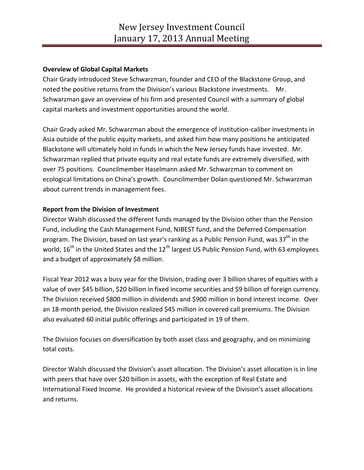## **Overview of Global Capital Markets**

Chair Grady introduced Steve Schwarzman, founder and CEO of the Blackstone Group, and noted the positive returns from the Division's various Blackstone investments. Mr. Schwarzman gave an overview of his firm and presented Council with a summary of global capital markets and investment opportunities around the world.

Chair Grady asked Mr. Schwarzman about the emergence of institution-caliber investments in Asia outside of the public equity markets, and asked him how many positions he anticipated Blackstone will ultimately hold in funds in which the New Jersey funds have invested. Mr. Schwarzman replied that private equity and real estate funds are extremely diversified, with over 75 positions. Councilmember Haselmann asked Mr. Schwarzman to comment on ecological limitations on China's growth. Councilmember Dolan questioned Mr. Schwarzman about current trends in management fees.

# **Report from the Division of Investment**

Director Walsh discussed the different funds managed by the Division other than the Pension Fund, including the Cash Management Fund, NJBEST fund, and the Deferred Compensation program. The Division, based on last year's ranking as a Public Pension Fund, was 37<sup>th</sup> in the world,  $16<sup>th</sup>$  in the United States and the  $12<sup>th</sup>$  largest US Public Pension Fund, with 63 employees and a budget of approximately \$8 million.

Fiscal Year 2012 was a busy year for the Division, trading over 3 billion shares of equities with a value of over \$45 billion, \$20 billion in fixed income securities and \$9 billion of foreign currency. The Division received \$800 million in dividends and \$900 million in bond interest income. Over an 18-month period, the Division realized \$45 million in covered call premiums. The Division also evaluated 60 initial public offerings and participated in 19 of them.

The Division focuses on diversification by both asset class and geography, and on minimizing total costs.

Director Walsh discussed the Division's asset allocation. The Division's asset allocation is in line with peers that have over \$20 billion in assets, with the exception of Real Estate and International Fixed Income. He provided a historical review of the Division's asset allocations and returns.